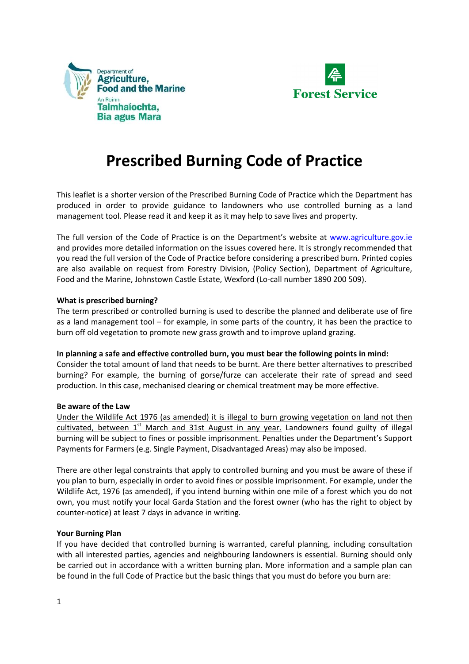



## **Prescribed Burning Code of Practice**

This leaflet is a shorter version of the Prescribed Burning Code of Practice which the Department has produced in order to provide guidance to landowners who use controlled burning as a land management tool. Please read it and keep it as it may help to save lives and property.

The full version of the Code of Practice is on the Department's website at [www.agriculture.gov.ie](http://www.agriculture.gov.ie/) and provides more detailed information on the issues covered here. It is strongly recommended that you read the full version of the Code of Practice before considering a prescribed burn. Printed copies are also available on request from Forestry Division, (Policy Section), Department of Agriculture, Food and the Marine, Johnstown Castle Estate, Wexford (Lo-call number 1890 200 509).

### **What is prescribed burning?**

The term prescribed or controlled burning is used to describe the planned and deliberate use of fire as a land management tool – for example, in some parts of the country, it has been the practice to burn off old vegetation to promote new grass growth and to improve upland grazing.

### **In planning a safe and effective controlled burn, you must bear the following points in mind:**

Consider the total amount of land that needs to be burnt. Are there better alternatives to prescribed burning? For example, the burning of gorse/furze can accelerate their rate of spread and seed production. In this case, mechanised clearing or chemical treatment may be more effective.

### **Be aware of the Law**

Under the Wildlife Act 1976 (as amended) it is illegal to burn growing vegetation on land not then cultivated, between  $1<sup>st</sup>$  March and 31st August in any year. Landowners found guilty of illegal burning will be subject to fines or possible imprisonment. Penalties under the Department's Support Payments for Farmers (e.g. Single Payment, Disadvantaged Areas) may also be imposed.

There are other legal constraints that apply to controlled burning and you must be aware of these if you plan to burn, especially in order to avoid fines or possible imprisonment. For example, under the Wildlife Act, 1976 (as amended), if you intend burning within one mile of a forest which you do not own, you must notify your local Garda Station and the forest owner (who has the right to object by counter-notice) at least 7 days in advance in writing.

### **Your Burning Plan**

If you have decided that controlled burning is warranted, careful planning, including consultation with all interested parties, agencies and neighbouring landowners is essential. Burning should only be carried out in accordance with a written burning plan. More information and a sample plan can be found in the full Code of Practice but the basic things that you must do before you burn are: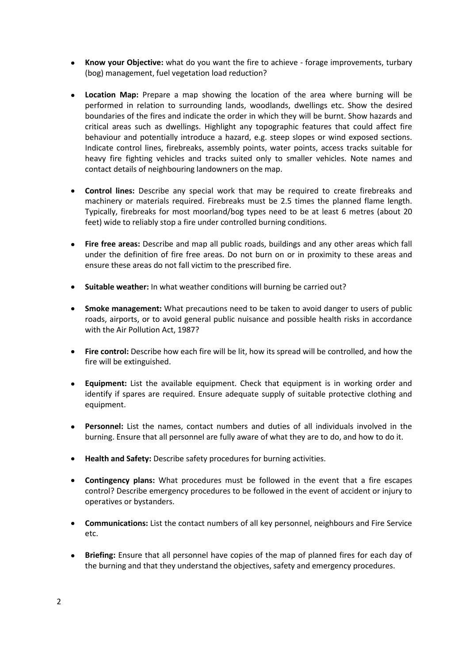- **Know your Objective:** what do you want the fire to achieve forage improvements, turbary  $\bullet$ (bog) management, fuel vegetation load reduction?
- **Location Map:** Prepare a map showing the location of the area where burning will be performed in relation to surrounding lands, woodlands, dwellings etc. Show the desired boundaries of the fires and indicate the order in which they will be burnt. Show hazards and critical areas such as dwellings. Highlight any topographic features that could affect fire behaviour and potentially introduce a hazard, e.g. steep slopes or wind exposed sections. Indicate control lines, firebreaks, assembly points, water points, access tracks suitable for heavy fire fighting vehicles and tracks suited only to smaller vehicles. Note names and contact details of neighbouring landowners on the map.
- $\bullet$ **Control lines:** Describe any special work that may be required to create firebreaks and machinery or materials required. Firebreaks must be 2.5 times the planned flame length. Typically, firebreaks for most moorland/bog types need to be at least 6 metres (about 20 feet) wide to reliably stop a fire under controlled burning conditions.
- $\bullet$ **Fire free areas:** Describe and map all public roads, buildings and any other areas which fall under the definition of fire free areas. Do not burn on or in proximity to these areas and ensure these areas do not fall victim to the prescribed fire.
- **Suitable weather:** In what weather conditions will burning be carried out?
- **Smoke management:** What precautions need to be taken to avoid danger to users of public roads, airports, or to avoid general public nuisance and possible health risks in accordance with the Air Pollution Act, 1987?
- **Fire control:** Describe how each fire will be lit, how its spread will be controlled, and how the fire will be extinguished.
- **Equipment:** List the available equipment. Check that equipment is in working order and  $\bullet$ identify if spares are required. Ensure adequate supply of suitable protective clothing and equipment.
- **Personnel:** List the names, contact numbers and duties of all individuals involved in the  $\bullet$ burning. Ensure that all personnel are fully aware of what they are to do, and how to do it.
- **Health and Safety:** Describe safety procedures for burning activities.
- **Contingency plans:** What procedures must be followed in the event that a fire escapes control? Describe emergency procedures to be followed in the event of accident or injury to operatives or bystanders.
- **Communications:** List the contact numbers of all key personnel, neighbours and Fire Service etc.
- **Briefing:** Ensure that all personnel have copies of the map of planned fires for each day of the burning and that they understand the objectives, safety and emergency procedures.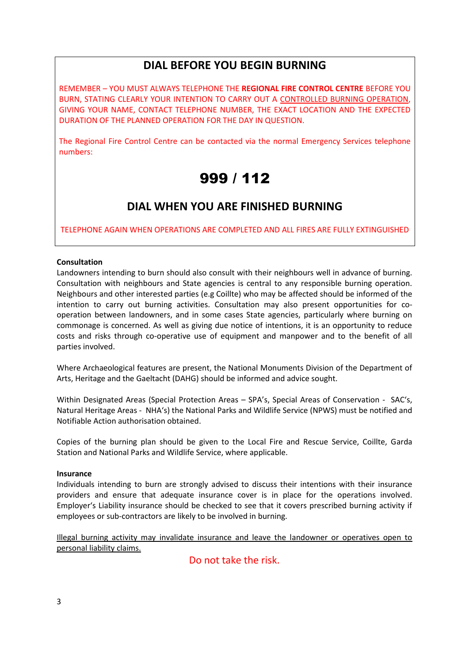### **DIAL BEFORE YOU BEGIN BURNING**

REMEMBER – YOU MUST ALWAYS TELEPHONE THE **REGIONAL FIRE CONTROL CENTRE** BEFORE YOU BURN, STATING CLEARLY YOUR INTENTION TO CARRY OUT A CONTROLLED BURNING OPERATION, GIVING YOUR NAME, CONTACT TELEPHONE NUMBER, THE EXACT LOCATION AND THE EXPECTED DURATION OF THE PLANNED OPERATION FOR THE DAY IN QUESTION.

The Regional Fire Control Centre can be contacted via the normal Emergency Services telephone numbers:

## 999 / 112

### **DIAL WHEN YOU ARE FINISHED BURNING**

TELEPHONE AGAIN WHEN OPERATIONS ARE COMPLETED AND ALL FIRES ARE FULLY EXTINGUISHED

### **Consultation**

Landowners intending to burn should also consult with their neighbours well in advance of burning. Consultation with neighbours and State agencies is central to any responsible burning operation. Neighbours and other interested parties (e.g Coillte) who may be affected should be informed of the intention to carry out burning activities. Consultation may also present opportunities for cooperation between landowners, and in some cases State agencies, particularly where burning on commonage is concerned. As well as giving due notice of intentions, it is an opportunity to reduce costs and risks through co-operative use of equipment and manpower and to the benefit of all parties involved.

Where Archaeological features are present, the National Monuments Division of the Department of Arts, Heritage and the Gaeltacht (DAHG) should be informed and advice sought.

Within Designated Areas (Special Protection Areas – SPA's, Special Areas of Conservation - SAC's, Natural Heritage Areas - NHA's) the National Parks and Wildlife Service (NPWS) must be notified and Notifiable Action authorisation obtained.

Copies of the burning plan should be given to the Local Fire and Rescue Service, Coillte, Garda Station and National Parks and Wildlife Service, where applicable.

### **Insurance**

Individuals intending to burn are strongly advised to discuss their intentions with their insurance providers and ensure that adequate insurance cover is in place for the operations involved. Employer's Liability insurance should be checked to see that it covers prescribed burning activity if employees or sub-contractors are likely to be involved in burning.

Illegal burning activity may invalidate insurance and leave the landowner or operatives open to personal liability claims.

Do not take the risk.